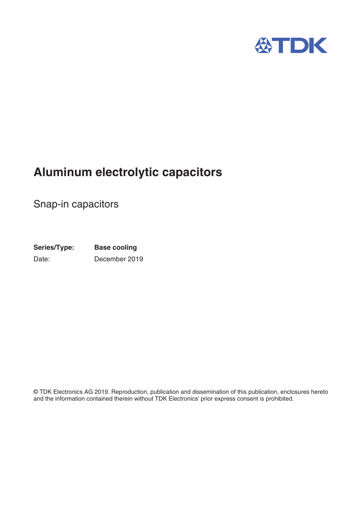

# **Aluminum electrolytic capacitors**

Snap-in capacitors

**Series/Type:** Date: **Base cooling** December 2019

© TDK Electronics AG 2019. Reproduction, publication and dissemination of this publication, enclosures hereto and the information contained therein without TDK Electronics' prior express consent is prohibited.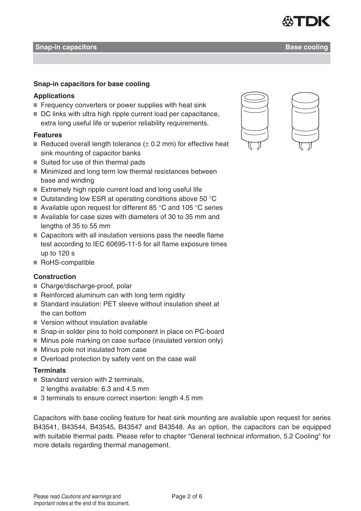#### **Snap-in capacitors Base cooling**

## **Snap-in capacitors for base cooling**

## **Applications**

- Frequency converters or power supplies with heat sink
- DC links with ultra high ripple current load per capacitance, extra long useful life or superior reliability requirements.

## **Features**

- Reduced overall length tolerance  $(\pm 0.2 \text{ mm})$  for effective heat sink mounting of capacitor banks
- Suited for use of thin thermal pads
- Minimized and long term low thermal resistances between base and winding
- $\blacksquare$  Extremely high ripple current load and long useful life
- $\blacksquare$  Outstanding low ESR at operating conditions above 50 °C
- Available upon request for different 85  $\degree$ C and 105  $\degree$ C series
- Available for case sizes with diameters of 30 to 35 mm and lengths of 35 to 55 mm
- Capacitors with all insulation versions pass the needle flame test according to IEC 60695-11-5 for all flame exposure times up to 120 s
- RoHS-compatible

## **Construction**

- Charge/discharge-proof, polar
- $\blacksquare$  Reinforced aluminum can with long term rigidity
- Standard insulation: PET sleeve without insulation sheet at the can bottom
- Version without insulation available
- Snap-in solder pins to hold component in place on PC-board
- Minus pole marking on case surface (insulated version only)
- $\blacksquare$  Minus pole not insulated from case
- Overload protection by safety vent on the case wall

## **Terminals**

- $\blacksquare$  Standard version with 2 terminals.
	- 2 lengths available: 6.3 and 4.5 mm
- 3 terminals to ensure correct insertion: length 4.5 mm

Capacitors with base cooling feature for heat sink mounting are available upon request for series B43541, B43544, B43545, B43547 and B43548. As an option, the capacitors can be equipped with suitable thermal pads. Please refer to chapter "General technical information, 5.2 Cooling" for more details regarding thermal management.



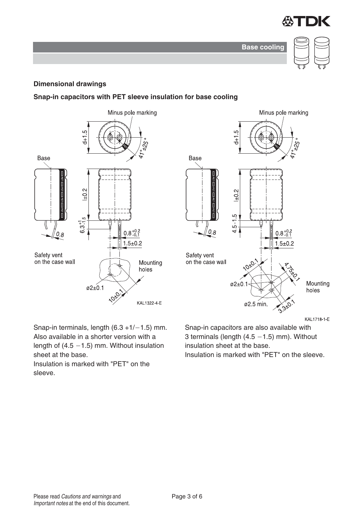

**Base cooling**



#### **Dimensional drawings**

#### **Snap-in capacitors with PET sleeve insulation for base cooling**





Snap-in terminals, length  $(6.3 + 1/-1.5)$  mm. Also available in a shorter version with a length of  $(4.5 - 1.5)$  mm. Without insulation sheet at the base.

Insulation is marked with "PET" on the sleeve.

KAL1718-1-E

Snap-in capacitors are also available with 3 terminals (length  $(4.5 - 1.5)$  mm). Without insulation sheet at the base.

Insulation is marked with "PET" on the sleeve.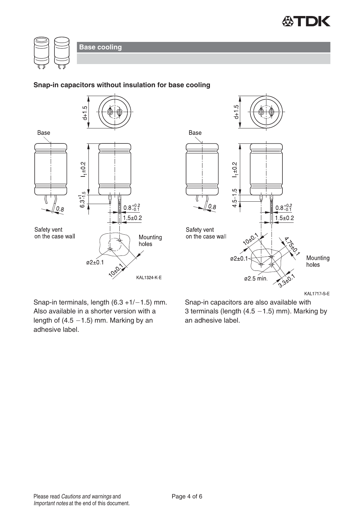



#### **Snap-in capacitors without insulation for base cooling**





Snap-in terminals, length  $(6.3 + 1/-1.5)$  mm. Also available in a shorter version with a length of  $(4.5 - 1.5)$  mm. Marking by an adhesive label.

Snap-in capacitors are also available with 3 terminals (length  $(4.5 - 1.5)$  mm). Marking by an adhesive label.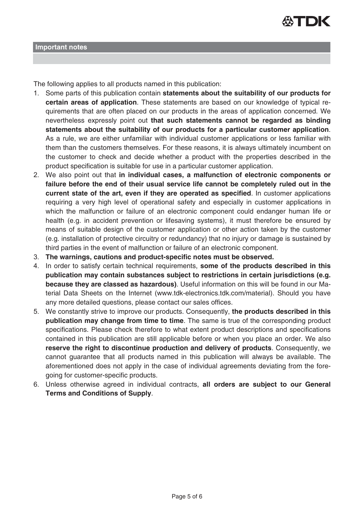

The following applies to all products named in this publication:

- 1. Some parts of this publication contain **statements about the suitability of our products for certain areas of application**. These statements are based on our knowledge of typical requirements that are often placed on our products in the areas of application concerned. We nevertheless expressly point out **that such statements cannot be regarded as binding statements about the suitability of our products for a particular customer application**. As a rule, we are either unfamiliar with individual customer applications or less familiar with them than the customers themselves. For these reasons, it is always ultimately incumbent on the customer to check and decide whether a product with the properties described in the product specification is suitable for use in a particular customer application.
- 2. We also point out that **in individual cases, a malfunction of electronic components or failure before the end of their usual service life cannot be completely ruled out in the current state of the art, even if they are operated as specified**. In customer applications requiring a very high level of operational safety and especially in customer applications in which the malfunction or failure of an electronic component could endanger human life or health (e.g. in accident prevention or lifesaving systems), it must therefore be ensured by means of suitable design of the customer application or other action taken by the customer (e.g. installation of protective circuitry or redundancy) that no injury or damage is sustained by third parties in the event of malfunction or failure of an electronic component.
- 3. **The warnings, cautions and product-specific notes must be observed.**
- 4. In order to satisfy certain technical requirements, **some of the products described in this publication may contain substances subject to restrictions in certain jurisdictions (e.g. because they are classed as hazardous)**. Useful information on this will be found in our Material Data Sheets on the Internet (www.tdk-electronics.tdk.com/material). Should you have any more detailed questions, please contact our sales offices.
- 5. We constantly strive to improve our products. Consequently, **the products described in this publication may change from time to time**. The same is true of the corresponding product specifications. Please check therefore to what extent product descriptions and specifications contained in this publication are still applicable before or when you place an order. We also **reserve the right to discontinue production and delivery of products**. Consequently, we cannot guarantee that all products named in this publication will always be available. The aforementioned does not apply in the case of individual agreements deviating from the foregoing for customer-specific products.
- 6. Unless otherwise agreed in individual contracts, **all orders are subject to our General Terms and Conditions of Supply**.